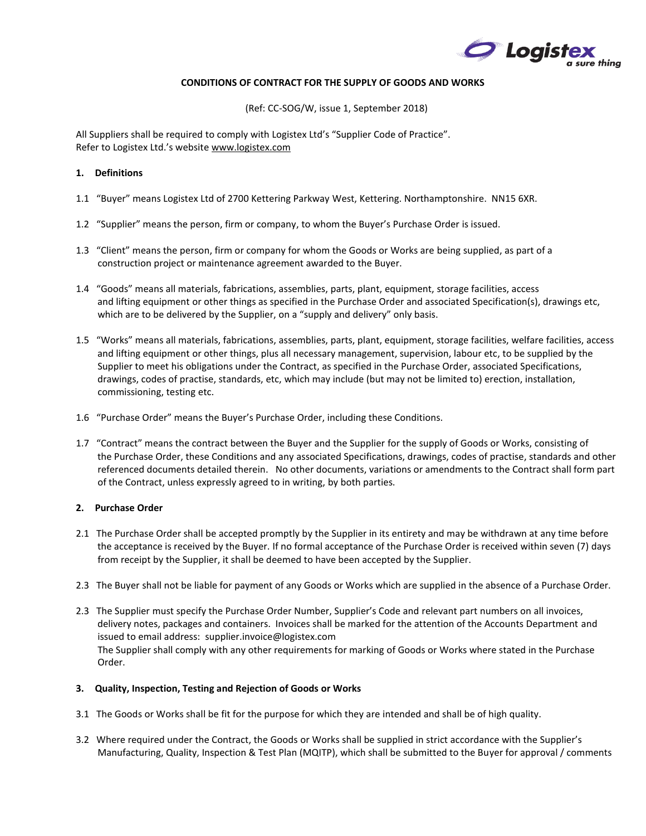

# **CONDITIONS OF CONTRACT FOR THE SUPPLY OF GOODS AND WORKS**

(Ref: CC-SOG/W, issue 1, September 2018)

All Suppliers shall be required to comply with Logistex Ltd's "Supplier Code of Practice". Refer to Logistex Ltd.'s website [www.logistex.com](http://www.logistex.com/)

# **1. Definitions**

- 1.1 "Buyer" means Logistex Ltd of 2700 Kettering Parkway West, Kettering. Northamptonshire. NN15 6XR.
- 1.2 "Supplier" means the person, firm or company, to whom the Buyer's Purchase Order is issued.
- 1.3 "Client" means the person, firm or company for whom the Goods or Works are being supplied, as part of a construction project or maintenance agreement awarded to the Buyer.
- 1.4 "Goods" means all materials, fabrications, assemblies, parts, plant, equipment, storage facilities, access and lifting equipment or other things as specified in the Purchase Order and associated Specification(s), drawings etc, which are to be delivered by the Supplier, on a "supply and delivery" only basis.
- 1.5 "Works" means all materials, fabrications, assemblies, parts, plant, equipment, storage facilities, welfare facilities, access and lifting equipment or other things, plus all necessary management, supervision, labour etc, to be supplied by the Supplier to meet his obligations under the Contract, as specified in the Purchase Order, associated Specifications, drawings, codes of practise, standards, etc, which may include (but may not be limited to) erection, installation, commissioning, testing etc.
- 1.6 "Purchase Order" means the Buyer's Purchase Order, including these Conditions.
- 1.7 "Contract" means the contract between the Buyer and the Supplier for the supply of Goods or Works, consisting of the Purchase Order, these Conditions and any associated Specifications, drawings, codes of practise, standards and other referenced documents detailed therein. No other documents, variations or amendments to the Contract shall form part of the Contract, unless expressly agreed to in writing, by both parties.

# **2. Purchase Order**

- 2.1 The Purchase Order shall be accepted promptly by the Supplier in its entirety and may be withdrawn at any time before the acceptance is received by the Buyer. If no formal acceptance of the Purchase Order is received within seven (7) days from receipt by the Supplier, it shall be deemed to have been accepted by the Supplier.
- 2.3 The Buyer shall not be liable for payment of any Goods or Works which are supplied in the absence of a Purchase Order.
- 2.3 The Supplier must specify the Purchase Order Number, Supplier's Code and relevant part numbers on all invoices, delivery notes, packages and containers. Invoices shall be marked for the attention of the Accounts Department and issued to email address: supplier.invoice@logistex.com The Supplier shall comply with any other requirements for marking of Goods or Works where stated in the Purchase Order.

# **3. Quality, Inspection, Testing and Rejection of Goods or Works**

- 3.1 The Goods or Works shall be fit for the purpose for which they are intended and shall be of high quality.
- 3.2 Where required under the Contract, the Goods or Works shall be supplied in strict accordance with the Supplier's Manufacturing, Quality, Inspection & Test Plan (MQITP), which shall be submitted to the Buyer for approval / comments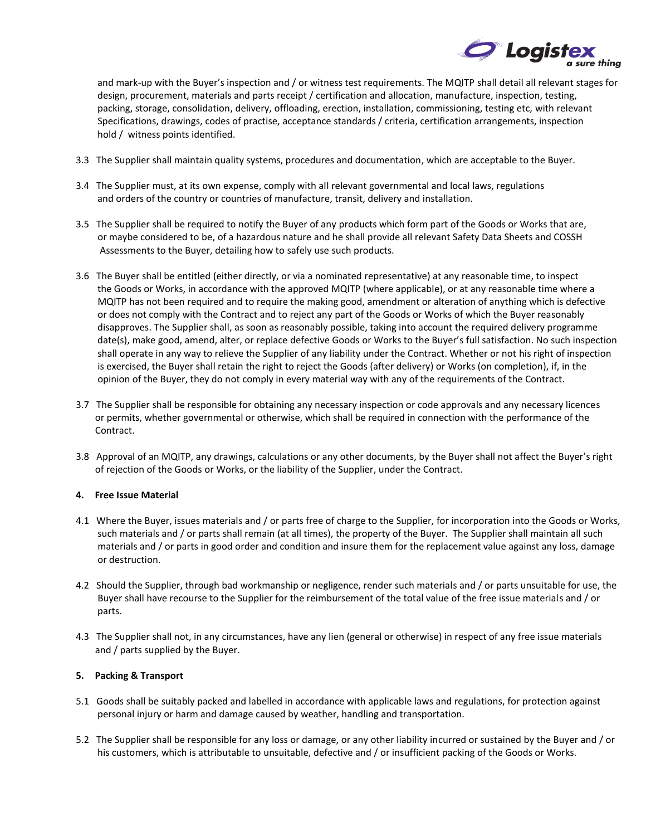

 and mark-up with the Buyer's inspection and / or witness test requirements. The MQITP shall detail all relevant stages for design, procurement, materials and parts receipt / certification and allocation, manufacture, inspection, testing, packing, storage, consolidation, delivery, offloading, erection, installation, commissioning, testing etc, with relevant Specifications, drawings, codes of practise, acceptance standards / criteria, certification arrangements, inspection hold / witness points identified.

- 3.3 The Supplier shall maintain quality systems, procedures and documentation, which are acceptable to the Buyer.
- 3.4 The Supplier must, at its own expense, comply with all relevant governmental and local laws, regulations and orders of the country or countries of manufacture, transit, delivery and installation.
- 3.5 The Supplier shall be required to notify the Buyer of any products which form part of the Goods or Works that are, or maybe considered to be, of a hazardous nature and he shall provide all relevant Safety Data Sheets and COSSH Assessments to the Buyer, detailing how to safely use such products.
- 3.6 The Buyer shall be entitled (either directly, or via a nominated representative) at any reasonable time, to inspect the Goods or Works, in accordance with the approved MQITP (where applicable), or at any reasonable time where a MQITP has not been required and to require the making good, amendment or alteration of anything which is defective or does not comply with the Contract and to reject any part of the Goods or Works of which the Buyer reasonably disapproves. The Supplier shall, as soon as reasonably possible, taking into account the required delivery programme date(s), make good, amend, alter, or replace defective Goods or Works to the Buyer's full satisfaction. No such inspection shall operate in any way to relieve the Supplier of any liability under the Contract. Whether or not his right of inspection is exercised, the Buyer shall retain the right to reject the Goods (after delivery) or Works (on completion), if, in the opinion of the Buyer, they do not comply in every material way with any of the requirements of the Contract.
- 3.7 The Supplier shall be responsible for obtaining any necessary inspection or code approvals and any necessary licences or permits, whether governmental or otherwise, which shall be required in connection with the performance of the Contract.
- 3.8 Approval of an MQITP, any drawings, calculations or any other documents, by the Buyer shall not affect the Buyer's right of rejection of the Goods or Works, or the liability of the Supplier, under the Contract.

# **4. Free Issue Material**

- 4.1 Where the Buyer, issues materials and / or parts free of charge to the Supplier, for incorporation into the Goods or Works, such materials and / or parts shall remain (at all times), the property of the Buyer. The Supplier shall maintain all such materials and / or parts in good order and condition and insure them for the replacement value against any loss, damage or destruction.
- 4.2 Should the Supplier, through bad workmanship or negligence, render such materials and / or parts unsuitable for use, the Buyer shall have recourse to the Supplier for the reimbursement of the total value of the free issue materials and / or parts.
- 4.3 The Supplier shall not, in any circumstances, have any lien (general or otherwise) in respect of any free issue materials and / parts supplied by the Buyer.

### **5. Packing & Transport**

- 5.1 Goods shall be suitably packed and labelled in accordance with applicable laws and regulations, for protection against personal injury or harm and damage caused by weather, handling and transportation.
- 5.2 The Supplier shall be responsible for any loss or damage, or any other liability incurred or sustained by the Buyer and / or his customers, which is attributable to unsuitable, defective and / or insufficient packing of the Goods or Works.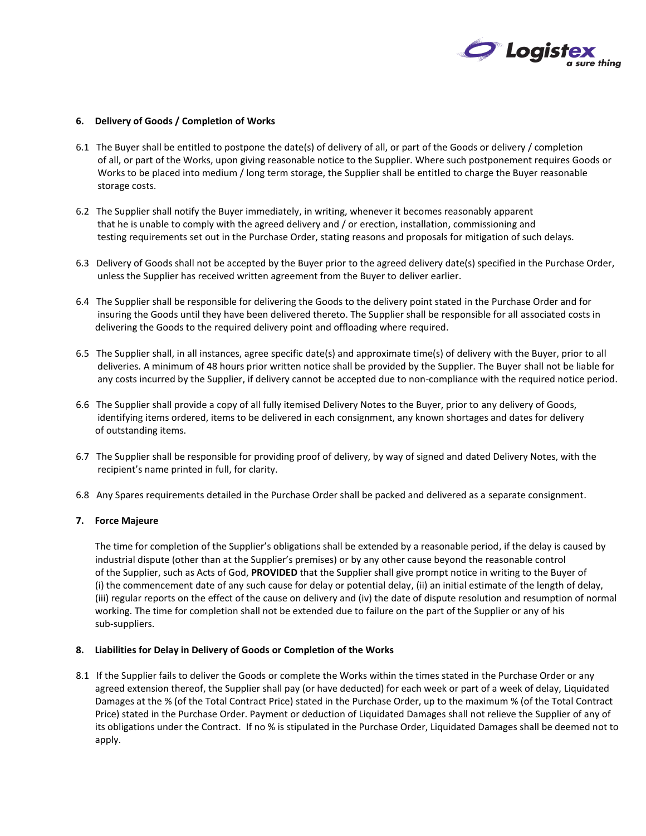

### **6. Delivery of Goods / Completion of Works**

- 6.1 The Buyer shall be entitled to postpone the date(s) of delivery of all, or part of the Goods or delivery / completion of all, or part of the Works, upon giving reasonable notice to the Supplier. Where such postponement requires Goods or Works to be placed into medium / long term storage, the Supplier shall be entitled to charge the Buyer reasonable storage costs.
- 6.2 The Supplier shall notify the Buyer immediately, in writing, whenever it becomes reasonably apparent that he is unable to comply with the agreed delivery and / or erection, installation, commissioning and testing requirements set out in the Purchase Order, stating reasons and proposals for mitigation of such delays.
- 6.3 Delivery of Goods shall not be accepted by the Buyer prior to the agreed delivery date(s) specified in the Purchase Order, unless the Supplier has received written agreement from the Buyer to deliver earlier.
- 6.4 The Supplier shall be responsible for delivering the Goods to the delivery point stated in the Purchase Order and for insuring the Goods until they have been delivered thereto. The Supplier shall be responsible for all associated costs in delivering the Goods to the required delivery point and offloading where required.
- 6.5 The Supplier shall, in all instances, agree specific date(s) and approximate time(s) of delivery with the Buyer, prior to all deliveries. A minimum of 48 hours prior written notice shall be provided by the Supplier. The Buyer shall not be liable for any costs incurred by the Supplier, if delivery cannot be accepted due to non-compliance with the required notice period.
- 6.6 The Supplier shall provide a copy of all fully itemised Delivery Notes to the Buyer, prior to any delivery of Goods, identifying items ordered, items to be delivered in each consignment, any known shortages and dates for delivery of outstanding items.
- 6.7 The Supplier shall be responsible for providing proof of delivery, by way of signed and dated Delivery Notes, with the recipient's name printed in full, for clarity.
- 6.8 Any Spares requirements detailed in the Purchase Order shall be packed and delivered as a separate consignment.

### **7. Force Majeure**

 The time for completion of the Supplier's obligations shall be extended by a reasonable period, if the delay is caused by industrial dispute (other than at the Supplier's premises) or by any other cause beyond the reasonable control of the Supplier, such as Acts of God, **PROVIDED** that the Supplier shall give prompt notice in writing to the Buyer of (i) the commencement date of any such cause for delay or potential delay, (ii) an initial estimate of the length of delay, (iii) regular reports on the effect of the cause on delivery and (iv) the date of dispute resolution and resumption of normal working. The time for completion shall not be extended due to failure on the part of the Supplier or any of his sub-suppliers.

### **8. Liabilities for Delay in Delivery of Goods or Completion of the Works**

8.1 If the Supplier fails to deliver the Goods or complete the Works within the times stated in the Purchase Order or any agreed extension thereof, the Supplier shall pay (or have deducted) for each week or part of a week of delay, Liquidated Damages at the % (of the Total Contract Price) stated in the Purchase Order, up to the maximum % (of the Total Contract Price) stated in the Purchase Order. Payment or deduction of Liquidated Damages shall not relieve the Supplier of any of its obligations under the Contract. If no % is stipulated in the Purchase Order, Liquidated Damages shall be deemed not to apply.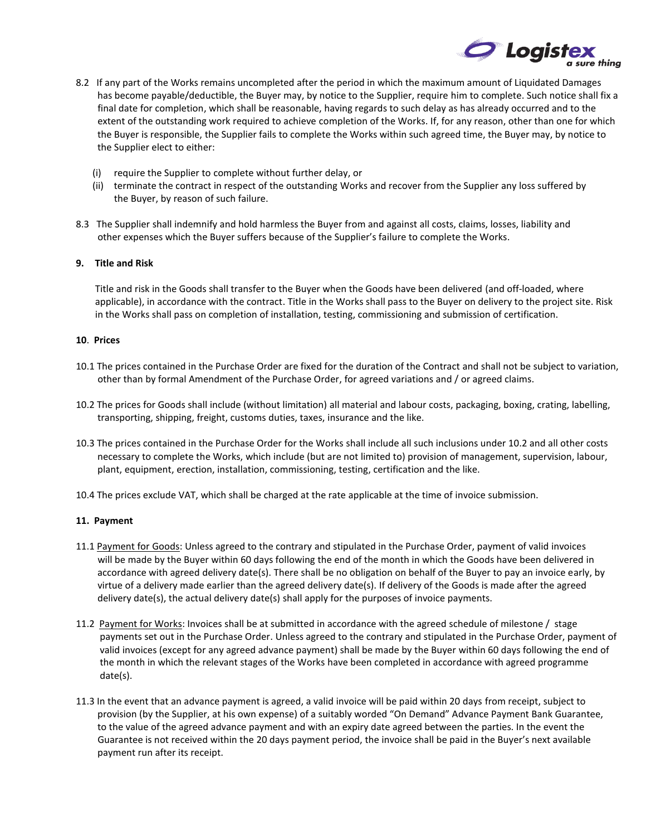

- 8.2 If any part of the Works remains uncompleted after the period in which the maximum amount of Liquidated Damages has become payable/deductible, the Buyer may, by notice to the Supplier, require him to complete. Such notice shall fix a final date for completion, which shall be reasonable, having regards to such delay as has already occurred and to the extent of the outstanding work required to achieve completion of the Works. If, for any reason, other than one for which the Buyer is responsible, the Supplier fails to complete the Works within such agreed time, the Buyer may, by notice to the Supplier elect to either:
	- (i) require the Supplier to complete without further delay, or
	- (ii) terminate the contract in respect of the outstanding Works and recover from the Supplier any loss suffered by the Buyer, by reason of such failure.
- 8.3 The Supplier shall indemnify and hold harmless the Buyer from and against all costs, claims, losses, liability and other expenses which the Buyer suffers because of the Supplier's failure to complete the Works.

### **9. Title and Risk**

 Title and risk in the Goods shall transfer to the Buyer when the Goods have been delivered (and off-loaded, where applicable), in accordance with the contract. Title in the Works shall pass to the Buyer on delivery to the project site. Risk in the Works shall pass on completion of installation, testing, commissioning and submission of certification.

#### **10**. **Prices**

- 10.1 The prices contained in the Purchase Order are fixed for the duration of the Contract and shall not be subject to variation, other than by formal Amendment of the Purchase Order, for agreed variations and / or agreed claims.
- 10.2 The prices for Goods shall include (without limitation) all material and labour costs, packaging, boxing, crating, labelling, transporting, shipping, freight, customs duties, taxes, insurance and the like.
- 10.3 The prices contained in the Purchase Order for the Works shall include all such inclusions under 10.2 and all other costs necessary to complete the Works, which include (but are not limited to) provision of management, supervision, labour, plant, equipment, erection, installation, commissioning, testing, certification and the like.
- 10.4 The prices exclude VAT, which shall be charged at the rate applicable at the time of invoice submission.

### **11. Payment**

- 11.1 Payment for Goods: Unless agreed to the contrary and stipulated in the Purchase Order, payment of valid invoices will be made by the Buyer within 60 days following the end of the month in which the Goods have been delivered in accordance with agreed delivery date(s). There shall be no obligation on behalf of the Buyer to pay an invoice early, by virtue of a delivery made earlier than the agreed delivery date(s). If delivery of the Goods is made after the agreed delivery date(s), the actual delivery date(s) shall apply for the purposes of invoice payments.
- 11.2 Payment for Works: Invoices shall be at submitted in accordance with the agreed schedule of milestone / stage payments set out in the Purchase Order. Unless agreed to the contrary and stipulated in the Purchase Order, payment of valid invoices (except for any agreed advance payment) shall be made by the Buyer within 60 days following the end of the month in which the relevant stages of the Works have been completed in accordance with agreed programme date(s).
- 11.3 In the event that an advance payment is agreed, a valid invoice will be paid within 20 days from receipt, subject to provision (by the Supplier, at his own expense) of a suitably worded "On Demand" Advance Payment Bank Guarantee, to the value of the agreed advance payment and with an expiry date agreed between the parties. In the event the Guarantee is not received within the 20 days payment period, the invoice shall be paid in the Buyer's next available payment run after its receipt.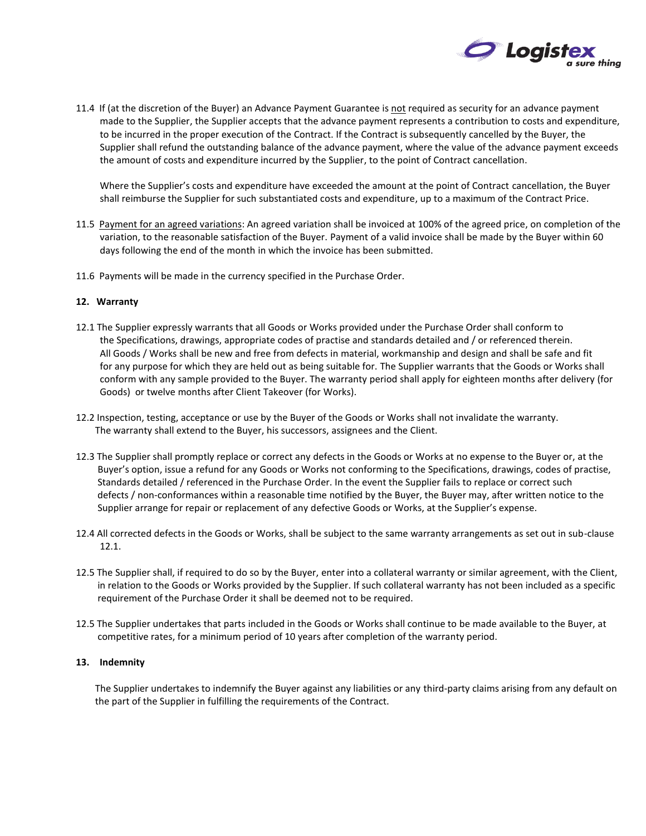

11.4 If (at the discretion of the Buyer) an Advance Payment Guarantee is not required as security for an advance payment made to the Supplier, the Supplier accepts that the advance payment represents a contribution to costs and expenditure, to be incurred in the proper execution of the Contract. If the Contract is subsequently cancelled by the Buyer, the Supplier shall refund the outstanding balance of the advance payment, where the value of the advance payment exceeds the amount of costs and expenditure incurred by the Supplier, to the point of Contract cancellation.

 Where the Supplier's costs and expenditure have exceeded the amount at the point of Contract cancellation, the Buyer shall reimburse the Supplier for such substantiated costs and expenditure, up to a maximum of the Contract Price.

- 11.5 Payment for an agreed variations: An agreed variation shall be invoiced at 100% of the agreed price, on completion of the variation, to the reasonable satisfaction of the Buyer. Payment of a valid invoice shall be made by the Buyer within 60 days following the end of the month in which the invoice has been submitted.
- 11.6 Payments will be made in the currency specified in the Purchase Order.

# **12. Warranty**

- 12.1 The Supplier expressly warrants that all Goods or Works provided under the Purchase Order shall conform to the Specifications, drawings, appropriate codes of practise and standards detailed and / or referenced therein. All Goods / Works shall be new and free from defects in material, workmanship and design and shall be safe and fit for any purpose for which they are held out as being suitable for. The Supplier warrants that the Goods or Works shall conform with any sample provided to the Buyer. The warranty period shall apply for eighteen months after delivery (for Goods) or twelve months after Client Takeover (for Works).
- 12.2 Inspection, testing, acceptance or use by the Buyer of the Goods or Works shall not invalidate the warranty. The warranty shall extend to the Buyer, his successors, assignees and the Client.
- 12.3 The Supplier shall promptly replace or correct any defects in the Goods or Works at no expense to the Buyer or, at the Buyer's option, issue a refund for any Goods or Works not conforming to the Specifications, drawings, codes of practise, Standards detailed / referenced in the Purchase Order. In the event the Supplier fails to replace or correct such defects / non-conformances within a reasonable time notified by the Buyer, the Buyer may, after written notice to the Supplier arrange for repair or replacement of any defective Goods or Works, at the Supplier's expense.
- 12.4 All corrected defects in the Goods or Works, shall be subject to the same warranty arrangements as set out in sub-clause 12.1.
- 12.5 The Supplier shall, if required to do so by the Buyer, enter into a collateral warranty or similar agreement, with the Client, in relation to the Goods or Works provided by the Supplier. If such collateral warranty has not been included as a specific requirement of the Purchase Order it shall be deemed not to be required.
- 12.5 The Supplier undertakes that parts included in the Goods or Works shall continue to be made available to the Buyer, at competitive rates, for a minimum period of 10 years after completion of the warranty period.

## **13. Indemnity**

 The Supplier undertakes to indemnify the Buyer against any liabilities or any third-party claims arising from any default on the part of the Supplier in fulfilling the requirements of the Contract.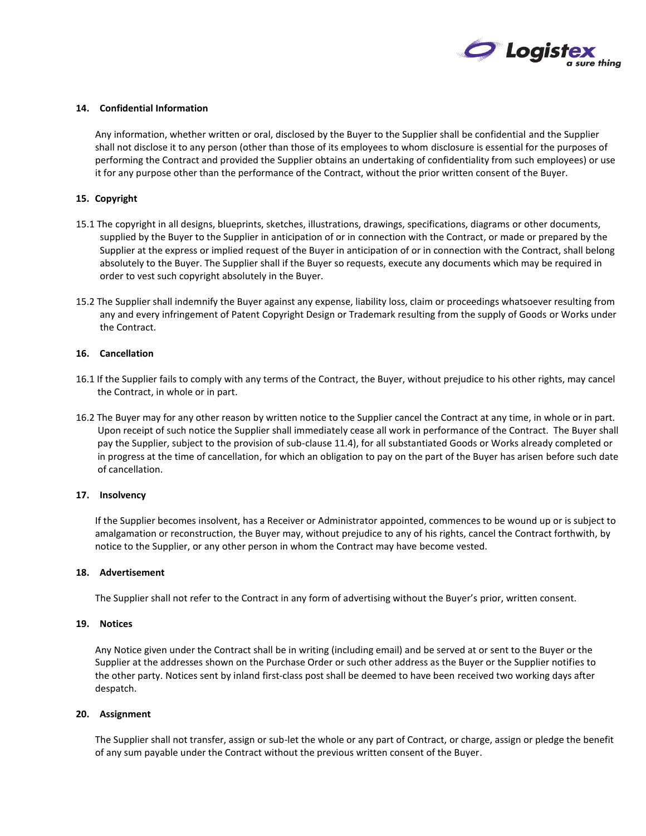

### **14. Confidential Information**

 Any information, whether written or oral, disclosed by the Buyer to the Supplier shall be confidential and the Supplier shall not disclose it to any person (other than those of its employees to whom disclosure is essential for the purposes of performing the Contract and provided the Supplier obtains an undertaking of confidentiality from such employees) or use it for any purpose other than the performance of the Contract, without the prior written consent of the Buyer.

# **15. Copyright**

- 15.1 The copyright in all designs, blueprints, sketches, illustrations, drawings, specifications, diagrams or other documents, supplied by the Buyer to the Supplier in anticipation of or in connection with the Contract, or made or prepared by the Supplier at the express or implied request of the Buyer in anticipation of or in connection with the Contract, shall belong absolutely to the Buyer. The Supplier shall if the Buyer so requests, execute any documents which may be required in order to vest such copyright absolutely in the Buyer.
- 15.2 The Supplier shall indemnify the Buyer against any expense, liability loss, claim or proceedings whatsoever resulting from any and every infringement of Patent Copyright Design or Trademark resulting from the supply of Goods or Works under the Contract.

#### **16. Cancellation**

- 16.1 If the Supplier fails to comply with any terms of the Contract, the Buyer, without prejudice to his other rights, may cancel the Contract, in whole or in part.
- 16.2 The Buyer may for any other reason by written notice to the Supplier cancel the Contract at any time, in whole or in part. Upon receipt of such notice the Supplier shall immediately cease all work in performance of the Contract. The Buyer shall pay the Supplier, subject to the provision of sub-clause 11.4), for all substantiated Goods or Works already completed or in progress at the time of cancellation, for which an obligation to pay on the part of the Buyer has arisen before such date of cancellation.

#### **17. Insolvency**

 If the Supplier becomes insolvent, has a Receiver or Administrator appointed, commences to be wound up or is subject to amalgamation or reconstruction, the Buyer may, without prejudice to any of his rights, cancel the Contract forthwith, by notice to the Supplier, or any other person in whom the Contract may have become vested.

#### **18. Advertisement**

The Supplier shall not refer to the Contract in any form of advertising without the Buyer's prior, written consent.

## **19. Notices**

 Any Notice given under the Contract shall be in writing (including email) and be served at or sent to the Buyer or the Supplier at the addresses shown on the Purchase Order or such other address as the Buyer or the Supplier notifies to the other party. Notices sent by inland first-class post shall be deemed to have been received two working days after despatch.

#### **20. Assignment**

 The Supplier shall not transfer, assign or sub-let the whole or any part of Contract, or charge, assign or pledge the benefit of any sum payable under the Contract without the previous written consent of the Buyer.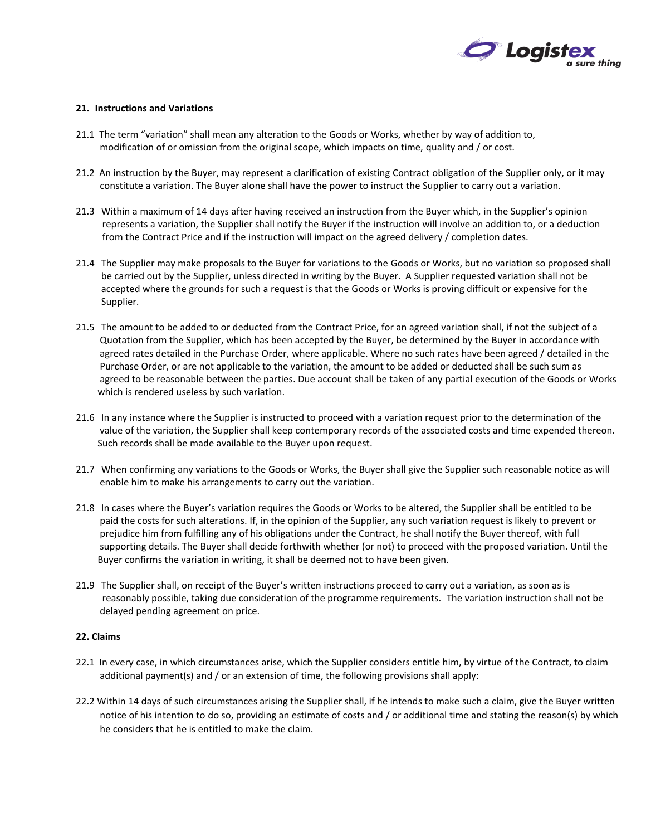

### **21. Instructions and Variations**

- 21.1 The term "variation" shall mean any alteration to the Goods or Works, whether by way of addition to, modification of or omission from the original scope, which impacts on time, quality and / or cost.
- 21.2 An instruction by the Buyer, may represent a clarification of existing Contract obligation of the Supplier only, or it may constitute a variation. The Buyer alone shall have the power to instruct the Supplier to carry out a variation.
- 21.3 Within a maximum of 14 days after having received an instruction from the Buyer which, in the Supplier's opinion represents a variation, the Supplier shall notify the Buyer if the instruction will involve an addition to, or a deduction from the Contract Price and if the instruction will impact on the agreed delivery / completion dates.
- 21.4 The Supplier may make proposals to the Buyer for variations to the Goods or Works, but no variation so proposed shall be carried out by the Supplier, unless directed in writing by the Buyer. A Supplier requested variation shall not be accepted where the grounds for such a request is that the Goods or Works is proving difficult or expensive for the Supplier.
- 21.5 The amount to be added to or deducted from the Contract Price, for an agreed variation shall, if not the subject of a Quotation from the Supplier, which has been accepted by the Buyer, be determined by the Buyer in accordance with agreed rates detailed in the Purchase Order, where applicable. Where no such rates have been agreed / detailed in the Purchase Order, or are not applicable to the variation, the amount to be added or deducted shall be such sum as agreed to be reasonable between the parties. Due account shall be taken of any partial execution of the Goods or Works which is rendered useless by such variation.
- 21.6 In any instance where the Supplier is instructed to proceed with a variation request prior to the determination of the value of the variation, the Supplier shall keep contemporary records of the associated costs and time expended thereon. Such records shall be made available to the Buyer upon request.
- 21.7 When confirming any variations to the Goods or Works, the Buyer shall give the Supplier such reasonable notice as will enable him to make his arrangements to carry out the variation.
- 21.8 In cases where the Buyer's variation requires the Goods or Works to be altered, the Supplier shall be entitled to be paid the costs for such alterations. If, in the opinion of the Supplier, any such variation request is likely to prevent or prejudice him from fulfilling any of his obligations under the Contract, he shall notify the Buyer thereof, with full supporting details. The Buyer shall decide forthwith whether (or not) to proceed with the proposed variation. Until the Buyer confirms the variation in writing, it shall be deemed not to have been given.
- 21.9 The Supplier shall, on receipt of the Buyer's written instructions proceed to carry out a variation, as soon as is reasonably possible, taking due consideration of the programme requirements. The variation instruction shall not be delayed pending agreement on price.

### **22. Claims**

- 22.1 In every case, in which circumstances arise, which the Supplier considers entitle him, by virtue of the Contract, to claim additional payment(s) and / or an extension of time, the following provisions shall apply:
- 22.2 Within 14 days of such circumstances arising the Supplier shall, if he intends to make such a claim, give the Buyer written notice of his intention to do so, providing an estimate of costs and / or additional time and stating the reason(s) by which he considers that he is entitled to make the claim.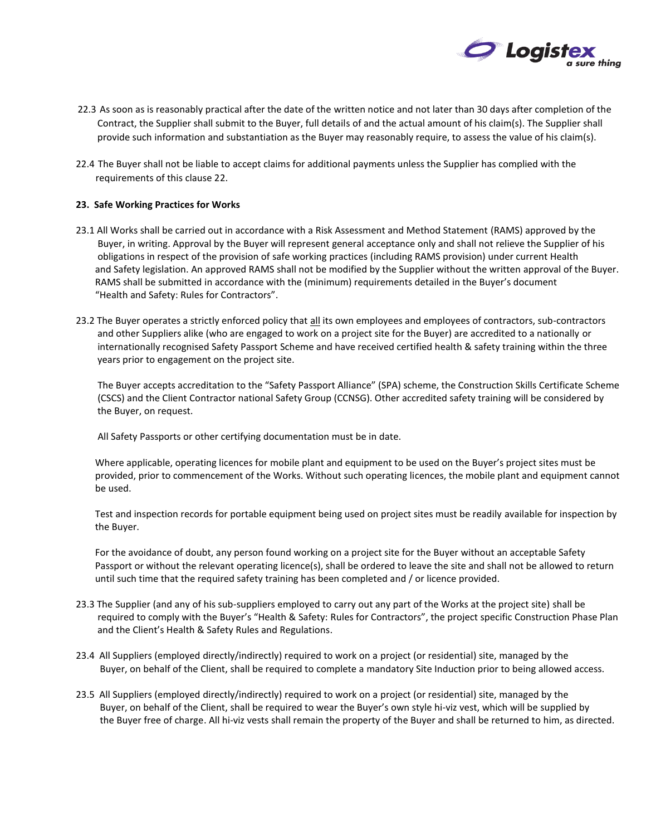

- 22.3 As soon as is reasonably practical after the date of the written notice and not later than 30 days after completion of the Contract, the Supplier shall submit to the Buyer, full details of and the actual amount of his claim(s). The Supplier shall provide such information and substantiation as the Buyer may reasonably require, to assess the value of his claim(s).
- 22.4 The Buyer shall not be liable to accept claims for additional payments unless the Supplier has complied with the requirements of this clause 22.

# **23. Safe Working Practices for Works**

- 23.1 All Works shall be carried out in accordance with a Risk Assessment and Method Statement (RAMS) approved by the Buyer, in writing. Approval by the Buyer will represent general acceptance only and shall not relieve the Supplier of his obligations in respect of the provision of safe working practices (including RAMS provision) under current Health and Safety legislation. An approved RAMS shall not be modified by the Supplier without the written approval of the Buyer. RAMS shall be submitted in accordance with the (minimum) requirements detailed in the Buyer's document "Health and Safety: Rules for Contractors".
- 23.2 The Buyer operates a strictly enforced policy that all its own employees and employees of contractors, sub-contractors and other Suppliers alike (who are engaged to work on a project site for the Buyer) are accredited to a nationally or internationally recognised Safety Passport Scheme and have received certified health & safety training within the three years prior to engagement on the project site.

 The Buyer accepts accreditation to the "Safety Passport Alliance" (SPA) scheme, the Construction Skills Certificate Scheme (CSCS) and the Client Contractor national Safety Group (CCNSG). Other accredited safety training will be considered by the Buyer, on request.

All Safety Passports or other certifying documentation must be in date.

 Where applicable, operating licences for mobile plant and equipment to be used on the Buyer's project sites must be provided, prior to commencement of the Works. Without such operating licences, the mobile plant and equipment cannot be used.

 Test and inspection records for portable equipment being used on project sites must be readily available for inspection by the Buyer.

 For the avoidance of doubt, any person found working on a project site for the Buyer without an acceptable Safety Passport or without the relevant operating licence(s), shall be ordered to leave the site and shall not be allowed to return until such time that the required safety training has been completed and / or licence provided.

- 23.3 The Supplier (and any of his sub-suppliers employed to carry out any part of the Works at the project site) shall be required to comply with the Buyer's "Health & Safety: Rules for Contractors", the project specific Construction Phase Plan and the Client's Health & Safety Rules and Regulations.
- 23.4 All Suppliers (employed directly/indirectly) required to work on a project (or residential) site, managed by the Buyer, on behalf of the Client, shall be required to complete a mandatory Site Induction prior to being allowed access.
- 23.5 All Suppliers (employed directly/indirectly) required to work on a project (or residential) site, managed by the Buyer, on behalf of the Client, shall be required to wear the Buyer's own style hi-viz vest, which will be supplied by the Buyer free of charge. All hi-viz vests shall remain the property of the Buyer and shall be returned to him, as directed.